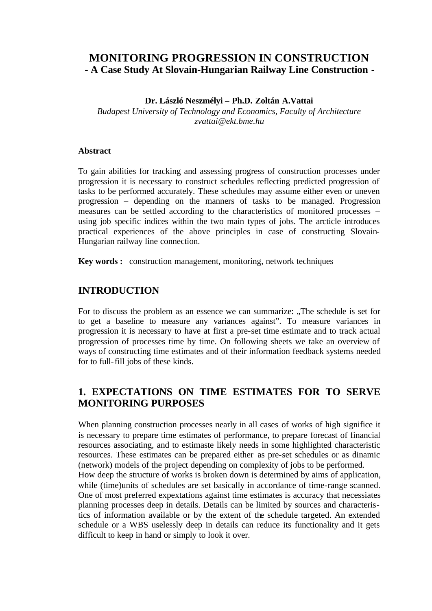# **MONITORING PROGRESSION IN CONSTRUCTION - A Case Study At Slovain-Hungarian Railway Line Construction -**

#### **Dr. László Neszmélyi – Ph.D. Zoltán A.Vattai**

*Budapest University of Technology and Economics, Faculty of Architecture zvattai@ekt.bme.hu*

#### **Abstract**

To gain abilities for tracking and assessing progress of construction processes under progression it is necessary to construct schedules reflecting predicted progression of tasks to be performed accurately. These schedules may assume either even or uneven progression – depending on the manners of tasks to be managed. Progression measures can be settled according to the characteristics of monitored processes – using job specific indices within the two main types of jobs. The arcticle introduces practical experiences of the above principles in case of constructing Slovain-Hungarian railway line connection.

**Key words :** construction management, monitoring, network techniques

## **INTRODUCTION**

For to discuss the problem as an essence we can summarize: "The schedule is set for to get a baseline to measure any variances against". To measure variances in progression it is necessary to have at first a pre-set time estimate and to track actual progression of processes time by time. On following sheets we take an overview of ways of constructing time estimates and of their information feedback systems needed for to full-fill jobs of these kinds.

## **1. EXPECTATIONS ON TIME ESTIMATES FOR TO SERVE MONITORING PURPOSES**

When planning construction processes nearly in all cases of works of high significe it is necessary to prepare time estimates of performance, to prepare forecast of financial resources associating, and to estimaste likely needs in some highlighted characteristic resources. These estimates can be prepared either as pre-set schedules or as dinamic (network) models of the project depending on complexity of jobs to be performed.

How deep the structure of works is broken down is determined by aims of application, while (time)units of schedules are set basically in accordance of time-range scanned. One of most preferred expextations against time estimates is accuracy that necessiates planning processes deep in details. Details can be limited by sources and characteristics of information available or by the extent of the schedule targeted. An extended schedule or a WBS uselessly deep in details can reduce its functionality and it gets difficult to keep in hand or simply to look it over.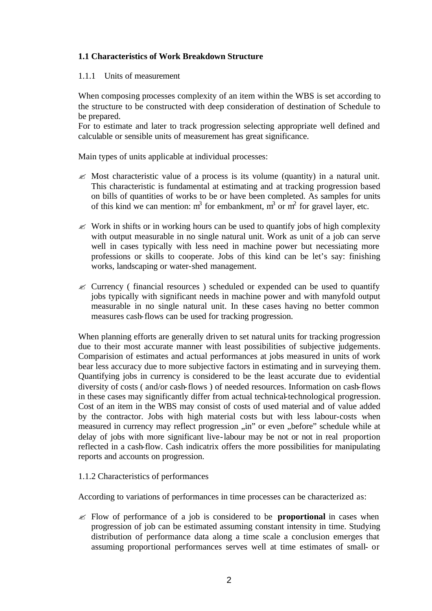## **1.1 Characteristics of Work Breakdown Structure**

#### 1.1.1 Units of measurement

When composing processes complexity of an item within the WBS is set according to the structure to be constructed with deep consideration of destination of Schedule to be prepared.

For to estimate and later to track progression selecting appropriate well defined and calculable or sensible units of measurement has great significance.

Main types of units applicable at individual processes:

- $\mathscr{L}$  Most characteristic value of a process is its volume (quantity) in a natural unit. This characteristic is fundamental at estimating and at tracking progression based on bills of quantities of works to be or have been completed. As samples for units of this kind we can mention:  $m^3$  for embankment,  $m^3$  or  $m^2$  for gravel layer, etc.
- $\mathscr{\mathscr{L}}$  Work in shifts or in working hours can be used to quantify jobs of high complexity with output measurable in no single natural unit. Work as unit of a job can serve well in cases typically with less need in machine power but necessiating more professions or skills to cooperate. Jobs of this kind can be let's say: finishing works, landscaping or water-shed management.
- ? Currency ( financial resources ) scheduled or expended can be used to quantify jobs typically with significant needs in machine power and with manyfold output measurable in no single natural unit. In these cases having no better common measures cash-flows can be used for tracking progression.

When planning efforts are generally driven to set natural units for tracking progression due to their most accurate manner with least possibilities of subjective judgements. Comparision of estimates and actual performances at jobs measured in units of work bear less accuracy due to more subjective factors in estimating and in surveying them. Quantifying jobs in currency is considered to be the least accurate due to evidential diversity of costs ( and/or cash-flows ) of needed resources. Information on cash-flows in these cases may significantly differ from actual technical-technological progression. Cost of an item in the WBS may consist of costs of used material and of value added by the contractor. Jobs with high material costs but with less labour-costs when measured in currency may reflect progression "in" or even "before" schedule while at delay of jobs with more significant live-labour may be not or not in real proportion reflected in a cash-flow. Cash indicatrix offers the more possibilities for manipulating reports and accounts on progression.

## 1.1.2 Characteristics of performances

According to variations of performances in time processes can be characterized as:

 $\approx$  Flow of performance of a job is considered to be **proportional** in cases when progression of job can be estimated assuming constant intensity in time. Studying distribution of performance data along a time scale a conclusion emerges that assuming proportional performances serves well at time estimates of small- or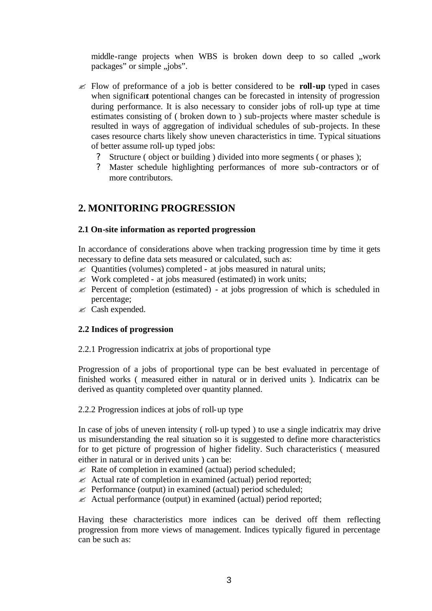middle-range projects when WBS is broken down deep to so called , work packages" or simple , jobs".

- ? Flow of preformance of a job is better considered to be **roll-up** typed in cases when significant potentional changes can be forecasted in intensity of progression during performance. It is also necessary to consider jobs of roll-up type at time estimates consisting of ( broken down to ) sub-projects where master schedule is resulted in ways of aggregation of individual schedules of sub-projects. In these cases resource charts likely show uneven characteristics in time. Typical situations of better assume roll-up typed jobs:
	- ? Structure ( object or building ) divided into more segments ( or phases );
	- ? Master schedule highlighting performances of more sub-contractors or of more contributors.

# **2. MONITORING PROGRESSION**

#### **2.1 On-site information as reported progression**

In accordance of considerations above when tracking progression time by time it gets necessary to define data sets measured or calculated, such as:

- $\mathscr{\mathscr{L}}$  Quantities (volumes) completed at jobs measured in natural units;
- $\mathscr{\mathscr{E}}$  Work completed at jobs measured (estimated) in work units;
- $\mathscr{L}$  Percent of completion (estimated) at jobs progression of which is scheduled in percentage;
- $\mathscr{\mathscr{E}}$  Cash expended.

## **2.2 Indices of progression**

2.2.1 Progression indicatrix at jobs of proportional type

Progression of a jobs of proportional type can be best evaluated in percentage of finished works ( measured either in natural or in derived units ). Indicatrix can be derived as quantity completed over quantity planned.

2.2.2 Progression indices at jobs of roll-up type

In case of jobs of uneven intensity ( roll-up typed ) to use a single indicatrix may drive us misunderstanding the real situation so it is suggested to define more characteristics for to get picture of progression of higher fidelity. Such characteristics ( measured either in natural or in derived units ) can be:

- $\mathscr{L}$  Rate of completion in examined (actual) period scheduled;
- $\mathscr{L}$  Actual rate of completion in examined (actual) period reported;
- $\&$  Performance (output) in examined (actual) period scheduled;
- $\mathscr{L}$  Actual performance (output) in examined (actual) period reported;

Having these characteristics more indices can be derived off them reflecting progression from more views of management. Indices typically figured in percentage can be such as: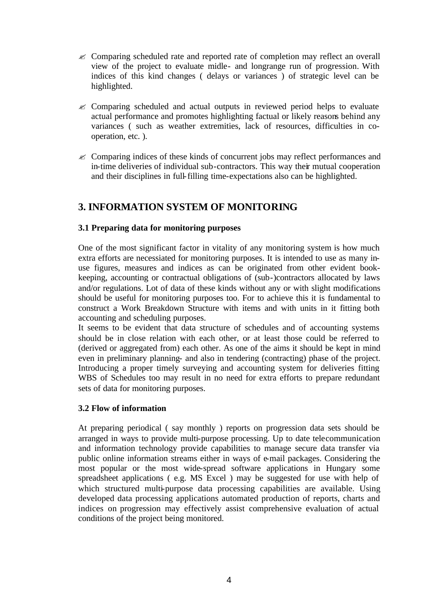- $\mathscr{\mathscr{E}}$  Comparing scheduled rate and reported rate of completion may reflect an overall view of the project to evaluate midle- and longrange run of progression. With indices of this kind changes ( delays or variances ) of strategic level can be highlighted.
- $\mathscr{\mathscr{E}}$  Comparing scheduled and actual outputs in reviewed period helps to evaluate actual performance and promotes highlighting factual or likely reasons behind any variances ( such as weather extremities, lack of resources, difficulties in cooperation, etc. ).
- $\approx$  Comparing indices of these kinds of concurrent jobs may reflect performances and in-time deliveries of individual sub-contractors. This way their mutual cooperation and their disciplines in full-filling time-expectations also can be highlighted.

## **3. INFORMATION SYSTEM OF MONITORING**

#### **3.1 Preparing data for monitoring purposes**

One of the most significant factor in vitality of any monitoring system is how much extra efforts are necessiated for monitoring purposes. It is intended to use as many inuse figures, measures and indices as can be originated from other evident bookkeeping, accounting or contractual obligations of (sub-)contractors allocated by laws and/or regulations. Lot of data of these kinds without any or with slight modifications should be useful for monitoring purposes too. For to achieve this it is fundamental to construct a Work Breakdown Structure with items and with units in it fitting both accounting and scheduling purposes.

It seems to be evident that data structure of schedules and of accounting systems should be in close relation with each other, or at least those could be referred to (derived or aggregated from) each other. As one of the aims it should be kept in mind even in preliminary planning- and also in tendering (contracting) phase of the project. Introducing a proper timely surveying and accounting system for deliveries fitting WBS of Schedules too may result in no need for extra efforts to prepare redundant sets of data for monitoring purposes.

#### **3.2 Flow of information**

At preparing periodical ( say monthly ) reports on progression data sets should be arranged in ways to provide multi-purpose processing. Up to date telecommunication and information technology provide capabilities to manage secure data transfer via public online information streams either in ways of e-mail packages. Considering the most popular or the most wide-spread software applications in Hungary some spreadsheet applications ( e.g. MS Excel ) may be suggested for use with help of which structured multi-purpose data processing capabilities are available. Using developed data processing applications automated production of reports, charts and indices on progression may effectively assist comprehensive evaluation of actual conditions of the project being monitored.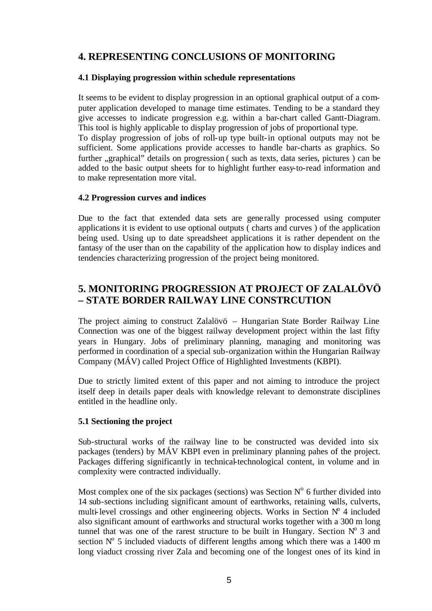# **4. REPRESENTING CONCLUSIONS OF MONITORING**

#### **4.1 Displaying progression within schedule representations**

It seems to be evident to display progression in an optional graphical output of a computer application developed to manage time estimates. Tending to be a standard they give accesses to indicate progression e.g. within a bar-chart called Gantt-Diagram. This tool is highly applicable to display progression of jobs of proportional type. To display progression of jobs of roll-up type built-in optional outputs may not be sufficient. Some applications provide accesses to handle bar-charts as graphics. So further "graphical" details on progression (such as texts, data series, pictures) can be added to the basic output sheets for to highlight further easy-to-read information and to make representation more vital.

#### **4.2 Progression curves and indices**

Due to the fact that extended data sets are gene rally processed using computer applications it is evident to use optional outputs ( charts and curves ) of the application being used. Using up to date spreadsheet applications it is rather dependent on the fantasy of the user than on the capability of the application how to display indices and tendencies characterizing progression of the project being monitored.

# **5. MONITORING PROGRESSION AT PROJECT OF ZALALÖVÖ – STATE BORDER RAILWAY LINE CONSTRCUTION**

The project aiming to construct Zalalövö – Hungarian State Border Railway Line Connection was one of the biggest railway development project within the last fifty years in Hungary. Jobs of preliminary planning, managing and monitoring was performed in coordination of a special sub-organization within the Hungarian Railway Company (MÁV) called Project Office of Highlighted Investments (KBPI).

Due to strictly limited extent of this paper and not aiming to introduce the project itself deep in details paper deals with knowledge relevant to demonstrate disciplines entitled in the headline only.

## **5.1 Sectioning the project**

Sub-structural works of the railway line to be constructed was devided into six packages (tenders) by MÁV KBPI even in preliminary planning pahes of the project. Packages differing significantly in technical-technological content, in volume and in complexity were contracted individually.

Most complex one of the six packages (sections) was Section  $N^{\circ}$  6 further divided into 14 sub-sections including significant amount of earthworks, retaining walls, culverts, multi-level crossings and other engineering objects. Works in Section  $N^{\circ}$  4 included also significant amount of earthworks and structural works together with a 300 m long tunnel that was one of the rarest structure to be built in Hungary. Section  $N^{\circ}$  3 and section  $N^{\circ}$  5 included viaducts of different lengths among which there was a 1400 m long viaduct crossing river Zala and becoming one of the longest ones of its kind in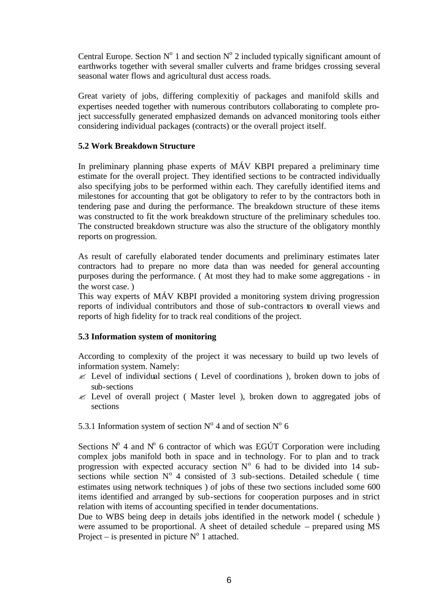Central Europe. Section  $N^{\circ}$  1 and section  $N^{\circ}$  2 included typically significant amount of earthworks together with several smaller culverts and frame bridges crossing several seasonal water flows and agricultural dust access roads.

Great variety of jobs, differing complexitiy of packages and manifold skills and expertises needed together with numerous contributors collaborating to complete project successfully generated emphasized demands on advanced monitoring tools either considering individual packages (contracts) or the overall project itself.

#### **5.2 Work Breakdown Structure**

In preliminary planning phase experts of MÁV KBPI prepared a preliminary time estimate for the overall project. They identified sections to be contracted individually also specifying jobs to be performed within each. They carefully identified items and milestones for accounting that got be obligatory to refer to by the contractors both in tendering pase and during the performance. The breakdown structure of these items was constructed to fit the work breakdown structure of the preliminary schedules too. The constructed breakdown structure was also the structure of the obligatory monthly reports on progression.

As result of carefully elaborated tender documents and preliminary estimates later contractors had to prepare no more data than was needed for general accounting purposes during the performance. ( At most they had to make some aggregations - in the worst case. )

This way experts of MÁV KBPI provided a monitoring system driving progression reports of individual contributors and those of sub-contractors to overall views and reports of high fidelity for to track real conditions of the project.

## **5.3 Information system of monitoring**

According to complexity of the project it was necessary to build up two levels of information system. Namely:

- $\mathscr{L}$  Level of individual sections (Level of coordinations), broken down to jobs of sub-sections
- $\mathscr E$  Level of overall project (Master level), broken down to aggregated jobs of sections

5.3.1 Information system of section  $N^{\circ}$  4 and of section  $N^{\circ}$  6

Sections  $N^{\circ}$  4 and  $N^{\circ}$  6 contractor of which was EGÚT Corporation were including complex jobs manifold both in space and in technology. For to plan and to track progression with expected accuracy section  $N^{\circ}$  6 had to be divided into 14 subsections while section  $N^{\circ}$  4 consisted of 3 sub-sections. Detailed schedule ( time estimates using network techniques ) of jobs of these two sections included some 600 items identified and arranged by sub-sections for cooperation purposes and in strict relation with items of accounting specified in tender documentations.

Due to WBS being deep in details jobs identified in the network model ( schedule ) were assumed to be proportional. A sheet of detailed schedule – prepared using MS Project – is presented in picture  $N^{\circ}$  1 attached.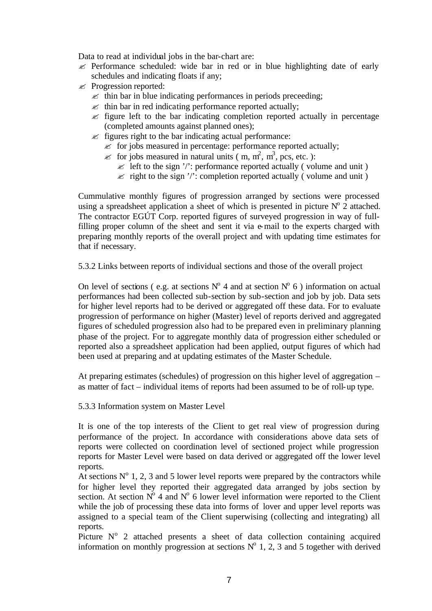Data to read at individual jobs in the bar-chart are:

- $\mathscr{L}$  Performance scheduled: wide bar in red or in blue highlighting date of early schedules and indicating floats if any;
- $\mathscr{\mathscr{E}}$  Progression reported:
	- $\approx$  thin bar in blue indicating performances in periods preceeding;
	- $\approx$  thin bar in red indicating performance reported actually;
	- $\mathscr{L}$  figure left to the bar indicating completion reported actually in percentage (completed amounts against planned ones);
	- $\mathscr{L}$  figures right to the bar indicating actual performance:
		- $\ll$  for jobs measured in percentage: performance reported actually;
		- $\ll$  for jobs measured in natural units (m, m<sup>2</sup>, m<sup>3</sup>, pcs, etc.):
			- $\le$  left to the sign '/': performance reported actually (volume and unit)
			- $\ll$  right to the sign '/': completion reported actually (volume and unit)

Cummulative monthly figures of progression arranged by sections were processed using a spreadsheet application a sheet of which is presented in picture  $N^{\circ}$  2 attached. The contractor EGÚT Corp. reported figures of surveyed progression in way of fullfilling proper column of the sheet and sent it via e-mail to the experts charged with preparing monthly reports of the overall project and with updating time estimates for that if necessary.

5.3.2 Links between reports of individual sections and those of the overall project

On level of sections (e.g. at sections  $N^{\circ}$  4 and at section  $N^{\circ}$  6) information on actual performances had been collected sub-section by sub-section and job by job. Data sets for higher level reports had to be derived or aggregated off these data. For to evaluate progression of performance on higher (Master) level of reports derived and aggregated figures of scheduled progression also had to be prepared even in preliminary planning phase of the project. For to aggregate monthly data of progression either scheduled or reported also a spreadsheet application had been applied, output figures of which had been used at preparing and at updating estimates of the Master Schedule.

At preparing estimates (schedules) of progression on this higher level of aggregation – as matter of fact – individual items of reports had been assumed to be of roll-up type.

5.3.3 Information system on Master Level

It is one of the top interests of the Client to get real view of progression during performance of the project. In accordance with considerations above data sets of reports were collected on coordination level of sectioned project while progression reports for Master Level were based on data derived or aggregated off the lower level reports.

At sections  $N^{\circ}$  1, 2, 3 and 5 lower level reports were prepared by the contractors while for higher level they reported their aggregated data arranged by jobs section by section. At section  $N^{\circ}$  4 and  $N^{\circ}$  6 lower level information were reported to the Client while the job of processing these data into forms of lover and upper level reports was assigned to a special team of the Client superwising (collecting and integrating) all reports.

Picture  $N^{\circ}$  2 attached presents a sheet of data collection containing acquired information on monthly progression at sections  $N^{\circ}$  1, 2, 3 and 5 together with derived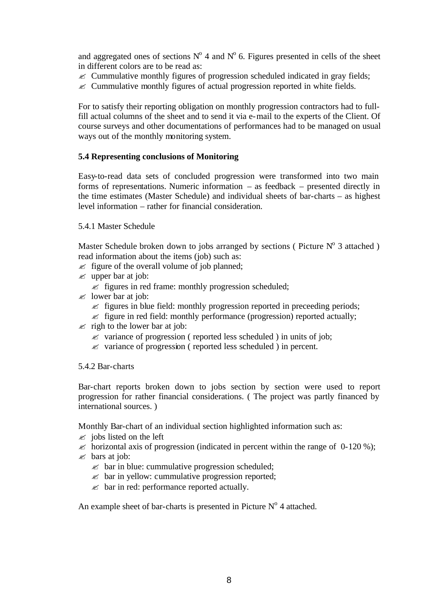and aggregated ones of sections  $N^{\circ}$  4 and  $N^{\circ}$  6. Figures presented in cells of the sheet in different colors are to be read as:

- $\mathscr{\mathscr{E}}$  Cummulative monthly figures of progression scheduled indicated in gray fields;
- $\mathscr{\mathscr{E}}$  Cummulative monthly figures of actual progression reported in white fields.

For to satisfy their reporting obligation on monthly progression contractors had to fullfill actual columns of the sheet and to send it via e-mail to the experts of the Client. Of course surveys and other documentations of performances had to be managed on usual ways out of the monthly monitoring system.

#### **5.4 Representing conclusions of Monitoring**

Easy-to-read data sets of concluded progression were transformed into two main forms of representations. Numeric information – as feedback – presented directly in the time estimates (Master Schedule) and individual sheets of bar-charts – as highest level information – rather for financial consideration.

#### 5.4.1 Master Schedule

Master Schedule broken down to jobs arranged by sections (Picture  $N^{\circ}$  3 attached) read information about the items (job) such as:

- $\mathscr{L}$  figure of the overall volume of job planned;
- $\mathscr{\mathscr{A}}$  upper bar at job:
	- $\mathscr{L}$  figures in red frame: monthly progression scheduled;
- $\approx$  lower bar at job:
	- $\mathscr{L}$  figures in blue field: monthly progression reported in preceeding periods;
	- $\epsilon$  figure in red field: monthly performance (progression) reported actually;
- $\approx$  righ to the lower bar at job:
	- $\mathscr Z$  variance of progression ( reported less scheduled ) in units of job;
	- $\mathscr Z$  variance of progression ( reported less scheduled ) in percent.

#### 5.4.2 Bar-charts

Bar-chart reports broken down to jobs section by section were used to report progression for rather financial considerations. ( The project was partly financed by international sources. )

Monthly Bar-chart of an individual section highlighted information such as:

- $\approx$  jobs listed on the left
- $\approx$  horizontal axis of progression (indicated in percent within the range of 0-120 %);
- $\approx$  bars at job:
	- $\approx$  bar in blue: cummulative progression scheduled;
	- $\mathscr{L}$  bar in yellow: cummulative progression reported;
	- $\mathscr{L}$  bar in red: performance reported actually.

An example sheet of bar-charts is presented in Picture  $N<sup>o</sup>$  4 attached.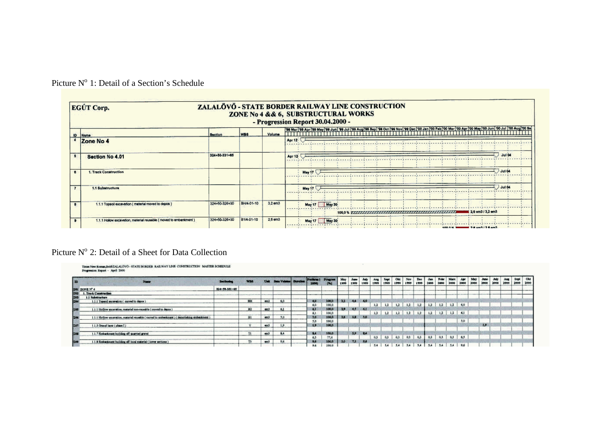| EGÚT Corp.                                                          |                |            |         | ZALALŐVŐ - STATE BORDER RAILWAY LINE CONSTRUCTION<br>ZONE No 4 && 6, SUBSTRUCTURAL WORKS<br>- Progression Report 30.04.2000 - |
|---------------------------------------------------------------------|----------------|------------|---------|-------------------------------------------------------------------------------------------------------------------------------|
| ID Name                                                             | <b>Section</b> | <b>WBS</b> | Volume  |                                                                                                                               |
| Zone No 4                                                           |                |            |         | Apr 12                                                                                                                        |
| Section No 4.01                                                     | 324+50-331+65  |            |         | Jul 04<br>Apr 12-                                                                                                             |
| 1. Track Construction                                               |                |            |         | Jul 04<br>May 17                                                                                                              |
| 1.1 Substructure                                                    |                |            |         | Jul 04<br>May 17                                                                                                              |
| 1.1.1 Topsoil excavation ( material moved to depos )                | 324+50-326+30  | BH/4-01-10 | 3.2 em3 | May 17 May 30<br>2.6 em3 / 3.2 em3                                                                                            |
| 1.1.1 Hollow excevation, material reusable ( moved to embanizment ) | 324+50-326+30  | B1/4-01-10 | 2.6 em3 | May 17 May 30<br><b><i>B. R. R. B. B. B.</i></b>                                                                              |

Picture Nº 1: Detail of a Section's Schedule

## Picture Nº 2: Detail of a Sheet for Data Collection

| E<br><b>Nome</b>                                                                                    | <b>Section</b> | <b>DATES</b> |              | Sara Valume Duration | Preference<br>3000 | <b>BITMEPH</b><br>T/T | 1999   | 1999    | 1999 | 1999 | Sapt<br>1999 | 1999            | Nov<br>1999 | Dec<br>1999 | 2000 | <b>Febr</b><br>2400 | Mare<br>2000      | 3900 | 3000 | 2000 | 2900 | 2900 | Sept<br>2000 | Okt<br>2000 |
|-----------------------------------------------------------------------------------------------------|----------------|--------------|--------------|----------------------|--------------------|-----------------------|--------|---------|------|------|--------------|-----------------|-------------|-------------|------|---------------------|-------------------|------|------|------|------|------|--------------|-------------|
| <b>ESI ZONEN'4</b>                                                                                  | 324-50-331-65  |              |              |                      |                    |                       |        |         |      |      |              |                 |             |             |      |                     |                   |      |      |      |      |      |              |             |
| 1202<br>1. Track Construction                                                                       |                |              |              |                      |                    |                       |        |         |      |      |              |                 |             |             |      |                     |                   |      |      |      |      |      |              |             |
| 203<br>1.1 Substituctory                                                                            |                |              |              |                      |                    |                       |        |         |      |      |              |                 |             |             |      |                     |                   |      |      |      |      |      |              |             |
| <b>TO4</b><br>1.1.1 Topsoil exceration ( moved to depos )                                           |                | BM           | <b>INTER</b> | 6.0                  | 0,0                | 100,0                 | $-3.2$ | 4.4 6.0 |      |      |              |                 |             |             |      |                     |                   |      |      |      |      |      |              |             |
|                                                                                                     |                |              |              |                      |                    | 100.0                 |        |         |      | 1.2  | 1,2          | 1,2             | 1.2         | 1,2         | 1,2  | 1.2                 | 1.2               | 6.0  |      |      |      |      |              |             |
| 205<br>11.1 Hollow meanwhise, material non-reasoble (moved to depox)                                |                | B2           | cents        | 6.1                  |                    | 100.0                 | 23     | 14.31   |      |      |              |                 |             |             |      |                     |                   |      |      |      |      |      |              |             |
|                                                                                                     |                |              | ---          |                      |                    |                       |        |         |      | 1.2  | 1.2          | 1,2             | $1.2 -$     | 1,2         | 1.2. | 1.2                 | 1.2.1             | 61   |      |      |      |      |              |             |
| 1.1.1 Hollow examplies, material reusable (moved to embanizment ) (demolishing embanizment )<br>204 |                | B1           | en3          | 5.0                  | 5.0                | 100,0                 | $-20$  | 3.8     | 3.0  |      |              |                 |             |             |      |                     |                   |      |      |      |      |      |              |             |
|                                                                                                     |                |              |              |                      | 5.0                | 100,0                 |        |         |      |      |              |                 |             |             |      |                     |                   | 3,0  |      |      |      |      |              |             |
| Ein<br>1.1 Circus layer (phase 1)                                                                   |                |              | mo's         | $\circ$              | 19                 | 100.0                 |        |         |      |      |              |                 |             |             |      |                     |                   |      |      | 1.9  |      |      |              |             |
|                                                                                                     |                |              |              |                      |                    |                       |        |         |      |      |              |                 |             |             |      |                     |                   |      |      |      |      |      |              |             |
| 1.1.7 Embedoners building off quarried gravel<br>E0                                                 |                |              | em3          | 8.4                  | R                  | 100.0                 |        | 3.9 BA  |      |      |              |                 |             |             |      |                     |                   |      |      |      |      |      |              |             |
|                                                                                                     |                |              |              |                      | 6.5                | 37.4                  |        |         |      | 0.3  | 0.3          | $0.3 -$         | $0.3 -$     | 0.3         | 0.3  |                     | $0.3$ $0.3$ $6.5$ |      |      |      |      |      |              |             |
| 1.1.8 Einbanknient building off local material (lower sections)<br>当时                               |                |              | and ?        | 9.6                  | 高度                 | 100,0                 | $30 -$ | $-2.5$  | 9,6  |      |              |                 |             |             |      |                     |                   |      |      |      |      |      |              |             |
|                                                                                                     |                |              |              |                      | 9.6                | 1000                  |        |         |      | 54   |              | 5.4 5.4 5.4 5.4 |             |             | 5.4  |                     | 5.4 5.4 9.6       |      |      |      |      |      |              |             |